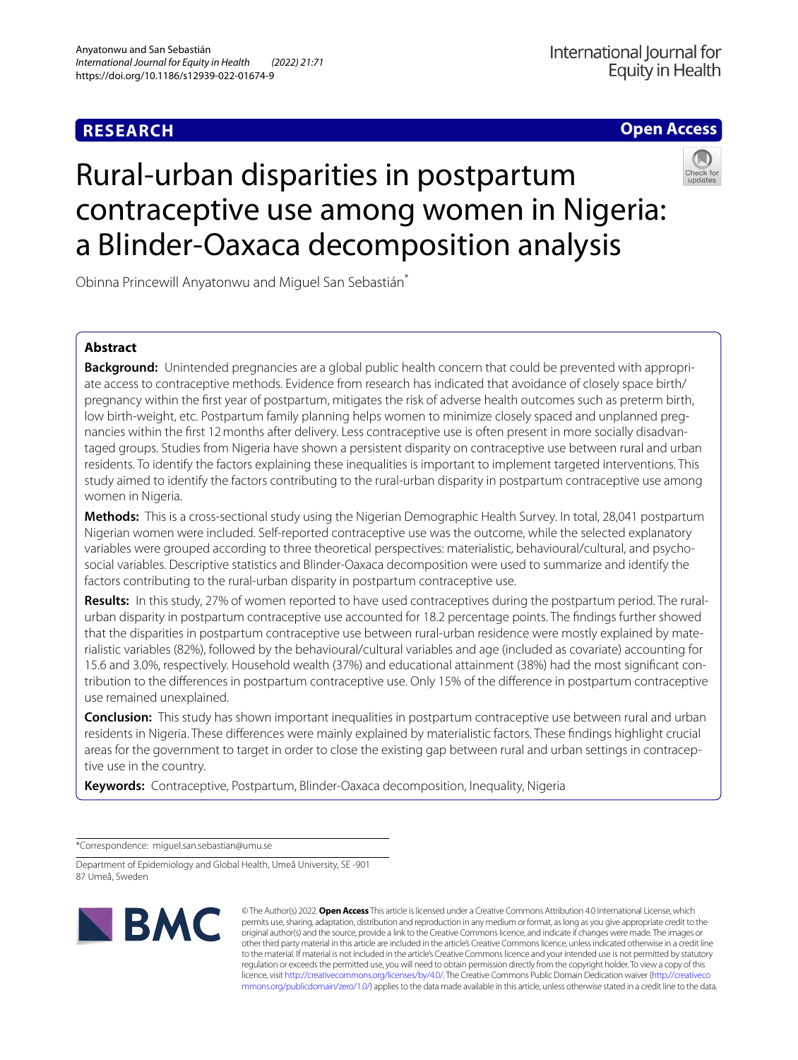# **RESEARCH**

## **Open Access**

# Rural-urban disparities in postpartum contraceptive use among women in Nigeria: a Blinder-Oaxaca decomposition analysis



Obinna Princewill Anyatonwu and Miguel San Sebastián\*

## **Abstract**

**Background:** Unintended pregnancies are a global public health concern that could be prevented with appropriate access to contraceptive methods. Evidence from research has indicated that avoidance of closely space birth/ pregnancy within the frst year of postpartum, mitigates the risk of adverse health outcomes such as preterm birth, low birth-weight, etc. Postpartum family planning helps women to minimize closely spaced and unplanned pregnancies within the frst 12months after delivery. Less contraceptive use is often present in more socially disadvantaged groups. Studies from Nigeria have shown a persistent disparity on contraceptive use between rural and urban residents. To identify the factors explaining these inequalities is important to implement targeted interventions. This study aimed to identify the factors contributing to the rural-urban disparity in postpartum contraceptive use among women in Nigeria.

**Methods:** This is a cross-sectional study using the Nigerian Demographic Health Survey. In total, 28,041 postpartum Nigerian women were included. Self-reported contraceptive use was the outcome, while the selected explanatory variables were grouped according to three theoretical perspectives: materialistic, behavioural/cultural, and psychosocial variables. Descriptive statistics and Blinder-Oaxaca decomposition were used to summarize and identify the factors contributing to the rural-urban disparity in postpartum contraceptive use.

**Results:** In this study, 27% of women reported to have used contraceptives during the postpartum period. The ruralurban disparity in postpartum contraceptive use accounted for 18.2 percentage points. The fndings further showed that the disparities in postpartum contraceptive use between rural-urban residence were mostly explained by materialistic variables (82%), followed by the behavioural/cultural variables and age (included as covariate) accounting for 15.6 and 3.0%, respectively. Household wealth (37%) and educational attainment (38%) had the most signifcant contribution to the diferences in postpartum contraceptive use. Only 15% of the diference in postpartum contraceptive use remained unexplained.

**Conclusion:** This study has shown important inequalities in postpartum contraceptive use between rural and urban residents in Nigeria. These diferences were mainly explained by materialistic factors. These fndings highlight crucial areas for the government to target in order to close the existing gap between rural and urban settings in contraceptive use in the country.

**Keywords:** Contraceptive, Postpartum, Blinder-Oaxaca decomposition, Inequality, Nigeria

\*Correspondence: miguel.san.sebastian@umu.se

Department of Epidemiology and Global Health, Umeå University, SE -901 87 Umeå, Sweden



© The Author(s) 2022. **Open Access** This article is licensed under a Creative Commons Attribution 4.0 International License, which permits use, sharing, adaptation, distribution and reproduction in any medium or format, as long as you give appropriate credit to the original author(s) and the source, provide a link to the Creative Commons licence, and indicate if changes were made. The images or other third party material in this article are included in the article's Creative Commons licence, unless indicated otherwise in a credit line to the material. If material is not included in the article's Creative Commons licence and your intended use is not permitted by statutory regulation or exceeds the permitted use, you will need to obtain permission directly from the copyright holder. To view a copy of this licence, visit [http://creativecommons.org/licenses/by/4.0/.](http://creativecommons.org/licenses/by/4.0/) The Creative Commons Public Domain Dedication waiver ([http://creativeco](http://creativecommons.org/publicdomain/zero/1.0/) [mmons.org/publicdomain/zero/1.0/](http://creativecommons.org/publicdomain/zero/1.0/)) applies to the data made available in this article, unless otherwise stated in a credit line to the data.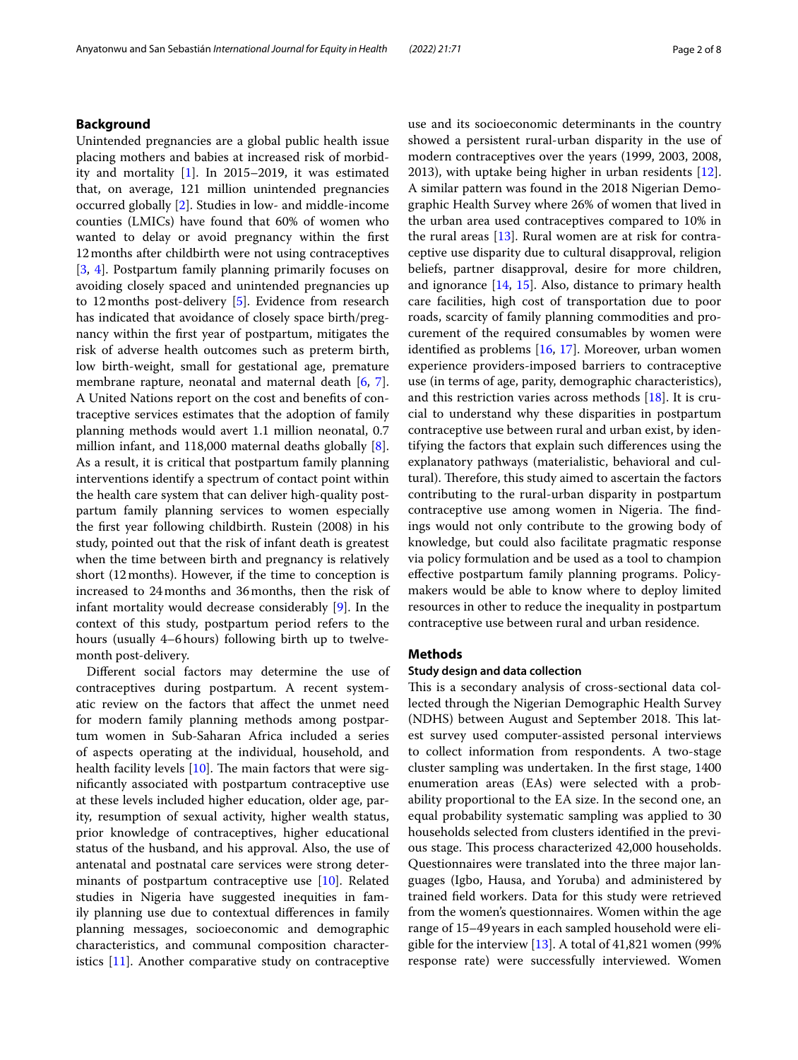## **Background**

Unintended pregnancies are a global public health issue placing mothers and babies at increased risk of morbidity and mortality [\[1](#page-6-0)]. In 2015–2019, it was estimated that, on average, 121 million unintended pregnancies occurred globally [[2\]](#page-6-1). Studies in low- and middle-income counties (LMICs) have found that 60% of women who wanted to delay or avoid pregnancy within the frst 12months after childbirth were not using contraceptives [[3,](#page-6-2) [4\]](#page-6-3). Postpartum family planning primarily focuses on avoiding closely spaced and unintended pregnancies up to 12months post-delivery [\[5](#page-6-4)]. Evidence from research has indicated that avoidance of closely space birth/pregnancy within the frst year of postpartum, mitigates the risk of adverse health outcomes such as preterm birth, low birth-weight, small for gestational age, premature membrane rapture, neonatal and maternal death [\[6](#page-6-5), [7](#page-6-6)]. A United Nations report on the cost and benefts of contraceptive services estimates that the adoption of family planning methods would avert 1.1 million neonatal, 0.7 million infant, and 118,000 maternal deaths globally [\[8](#page-7-0)]. As a result, it is critical that postpartum family planning interventions identify a spectrum of contact point within the health care system that can deliver high-quality postpartum family planning services to women especially the frst year following childbirth. Rustein (2008) in his study, pointed out that the risk of infant death is greatest when the time between birth and pregnancy is relatively short (12months). However, if the time to conception is increased to 24months and 36months, then the risk of infant mortality would decrease considerably [\[9](#page-7-1)]. In the context of this study, postpartum period refers to the hours (usually 4–6hours) following birth up to twelvemonth post-delivery.

Diferent social factors may determine the use of contraceptives during postpartum. A recent systematic review on the factors that afect the unmet need for modern family planning methods among postpartum women in Sub-Saharan Africa included a series of aspects operating at the individual, household, and health facility levels  $[10]$  $[10]$ . The main factors that were signifcantly associated with postpartum contraceptive use at these levels included higher education, older age, parity, resumption of sexual activity, higher wealth status, prior knowledge of contraceptives, higher educational status of the husband, and his approval. Also, the use of antenatal and postnatal care services were strong determinants of postpartum contraceptive use [\[10](#page-7-2)]. Related studies in Nigeria have suggested inequities in family planning use due to contextual diferences in family planning messages, socioeconomic and demographic characteristics, and communal composition characteristics [\[11](#page-7-3)]. Another comparative study on contraceptive use and its socioeconomic determinants in the country showed a persistent rural-urban disparity in the use of modern contraceptives over the years (1999, 2003, 2008, 2013), with uptake being higher in urban residents [\[12](#page-7-4)]. A similar pattern was found in the 2018 Nigerian Demographic Health Survey where 26% of women that lived in the urban area used contraceptives compared to 10% in the rural areas  $[13]$  $[13]$  $[13]$ . Rural women are at risk for contraceptive use disparity due to cultural disapproval, religion beliefs, partner disapproval, desire for more children, and ignorance [\[14](#page-7-6), [15](#page-7-7)]. Also, distance to primary health care facilities, high cost of transportation due to poor roads, scarcity of family planning commodities and procurement of the required consumables by women were identifed as problems [[16](#page-7-8), [17\]](#page-7-9). Moreover, urban women experience providers-imposed barriers to contraceptive use (in terms of age, parity, demographic characteristics), and this restriction varies across methods [\[18\]](#page-7-10). It is crucial to understand why these disparities in postpartum contraceptive use between rural and urban exist, by identifying the factors that explain such diferences using the explanatory pathways (materialistic, behavioral and cultural). Therefore, this study aimed to ascertain the factors contributing to the rural-urban disparity in postpartum contraceptive use among women in Nigeria. The findings would not only contribute to the growing body of knowledge, but could also facilitate pragmatic response via policy formulation and be used as a tool to champion efective postpartum family planning programs. Policymakers would be able to know where to deploy limited resources in other to reduce the inequality in postpartum contraceptive use between rural and urban residence.

#### **Methods**

## **Study design and data collection**

This is a secondary analysis of cross-sectional data collected through the Nigerian Demographic Health Survey (NDHS) between August and September 2018. This latest survey used computer-assisted personal interviews to collect information from respondents. A two-stage cluster sampling was undertaken. In the frst stage, 1400 enumeration areas (EAs) were selected with a probability proportional to the EA size. In the second one, an equal probability systematic sampling was applied to 30 households selected from clusters identifed in the previous stage. This process characterized 42,000 households. Questionnaires were translated into the three major languages (Igbo, Hausa, and Yoruba) and administered by trained feld workers. Data for this study were retrieved from the women's questionnaires. Women within the age range of 15–49years in each sampled household were eligible for the interview  $[13]$  $[13]$  $[13]$ . A total of 41,821 women (99%) response rate) were successfully interviewed. Women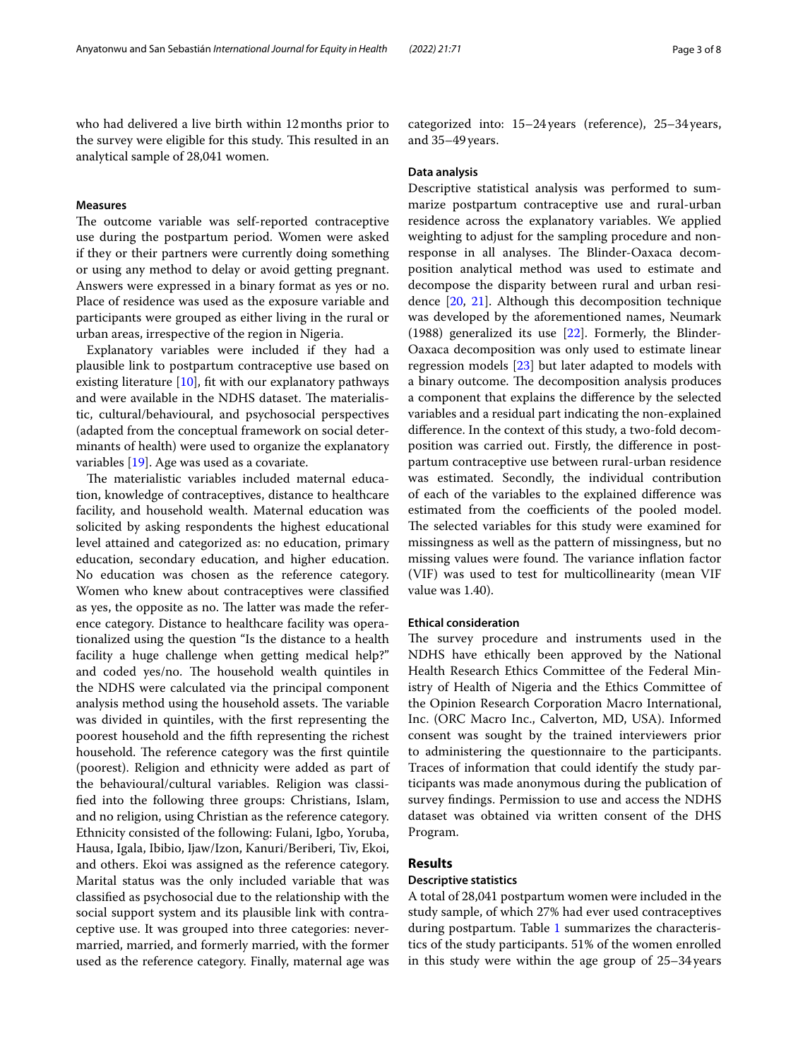who had delivered a live birth within 12months prior to the survey were eligible for this study. This resulted in an analytical sample of 28,041 women.

#### **Measures**

The outcome variable was self-reported contraceptive use during the postpartum period. Women were asked if they or their partners were currently doing something or using any method to delay or avoid getting pregnant. Answers were expressed in a binary format as yes or no. Place of residence was used as the exposure variable and participants were grouped as either living in the rural or urban areas, irrespective of the region in Nigeria.

Explanatory variables were included if they had a plausible link to postpartum contraceptive use based on existing literature [[10](#page-7-2)], fit with our explanatory pathways and were available in the NDHS dataset. The materialistic, cultural/behavioural, and psychosocial perspectives (adapted from the conceptual framework on social determinants of health) were used to organize the explanatory variables [\[19](#page-7-11)]. Age was used as a covariate.

The materialistic variables included maternal education, knowledge of contraceptives, distance to healthcare facility, and household wealth. Maternal education was solicited by asking respondents the highest educational level attained and categorized as: no education, primary education, secondary education, and higher education. No education was chosen as the reference category. Women who knew about contraceptives were classifed as yes, the opposite as no. The latter was made the reference category. Distance to healthcare facility was operationalized using the question "Is the distance to a health facility a huge challenge when getting medical help?" and coded yes/no. The household wealth quintiles in the NDHS were calculated via the principal component analysis method using the household assets. The variable was divided in quintiles, with the frst representing the poorest household and the ffth representing the richest household. The reference category was the first quintile (poorest). Religion and ethnicity were added as part of the behavioural/cultural variables. Religion was classifed into the following three groups: Christians, Islam, and no religion, using Christian as the reference category. Ethnicity consisted of the following: Fulani, Igbo, Yoruba, Hausa, Igala, Ibibio, Ijaw/Izon, Kanuri/Beriberi, Tiv, Ekoi, and others. Ekoi was assigned as the reference category. Marital status was the only included variable that was classifed as psychosocial due to the relationship with the social support system and its plausible link with contraceptive use. It was grouped into three categories: nevermarried, married, and formerly married, with the former used as the reference category. Finally, maternal age was categorized into: 15–24years (reference), 25–34years, and 35–49years.

#### **Data analysis**

Descriptive statistical analysis was performed to summarize postpartum contraceptive use and rural-urban residence across the explanatory variables. We applied weighting to adjust for the sampling procedure and nonresponse in all analyses. The Blinder-Oaxaca decomposition analytical method was used to estimate and decompose the disparity between rural and urban residence [[20,](#page-7-12) [21\]](#page-7-13). Although this decomposition technique was developed by the aforementioned names, Neumark (1988) generalized its use [\[22](#page-7-14)]. Formerly, the Blinder-Oaxaca decomposition was only used to estimate linear regression models [[23\]](#page-7-15) but later adapted to models with a binary outcome. The decomposition analysis produces a component that explains the diference by the selected variables and a residual part indicating the non-explained diference. In the context of this study, a two-fold decomposition was carried out. Firstly, the diference in postpartum contraceptive use between rural-urban residence was estimated. Secondly, the individual contribution of each of the variables to the explained diference was estimated from the coefficients of the pooled model. The selected variables for this study were examined for missingness as well as the pattern of missingness, but no missing values were found. The variance inflation factor (VIF) was used to test for multicollinearity (mean VIF value was 1.40).

## **Ethical consideration**

The survey procedure and instruments used in the NDHS have ethically been approved by the National Health Research Ethics Committee of the Federal Ministry of Health of Nigeria and the Ethics Committee of the Opinion Research Corporation Macro International, Inc. (ORC Macro Inc., Calverton, MD, USA). Informed consent was sought by the trained interviewers prior to administering the questionnaire to the participants. Traces of information that could identify the study participants was made anonymous during the publication of survey fndings. Permission to use and access the NDHS dataset was obtained via written consent of the DHS Program.

#### **Results**

#### **Descriptive statistics**

A total of 28,041 postpartum women were included in the study sample, of which 27% had ever used contraceptives during postpartum. Table [1](#page-3-0) summarizes the characteristics of the study participants. 51% of the women enrolled in this study were within the age group of 25–34years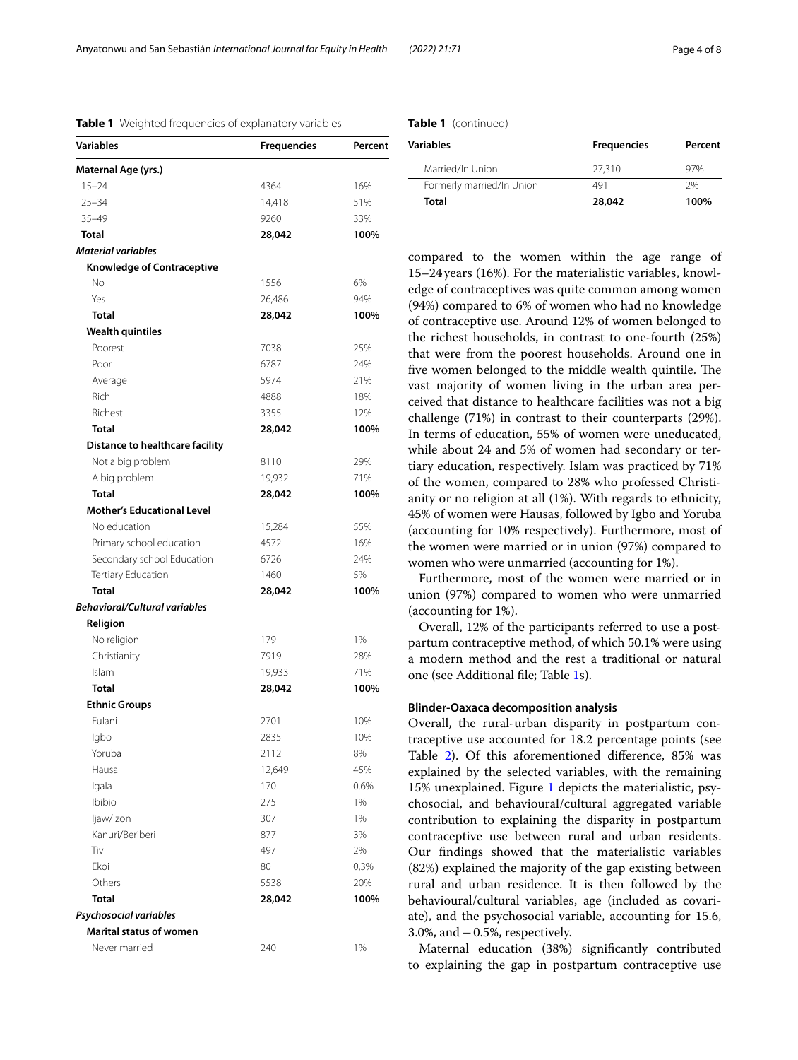Anyatonwu and San Sebastián *International Journal for Equity in Health (2022) 21:71* Page 4 of 8

#### <span id="page-3-0"></span>**Table 1** Weighted frequencies of explanatory variables

| Variables                            | <b>Frequencies</b> | Percent |
|--------------------------------------|--------------------|---------|
| Maternal Age (yrs.)                  |                    |         |
| $15 - 24$                            | 4364               | 16%     |
| $25 - 34$                            | 14,418             | 51%     |
| $35 - 49$                            | 9260               | 33%     |
| Total                                | 28,042             | 100%    |
| <b>Material variables</b>            |                    |         |
| <b>Knowledge of Contraceptive</b>    |                    |         |
| No                                   | 1556               | 6%      |
| Yes                                  | 26,486             | 94%     |
| <b>Total</b>                         | 28,042             | 100%    |
| <b>Wealth quintiles</b>              |                    |         |
| Poorest                              | 7038               | 25%     |
| Poor                                 | 6787               | 24%     |
| Average                              | 5974               | 21%     |
| Rich                                 | 4888               | 18%     |
| Richest                              | 3355               | 12%     |
| <b>Total</b>                         | 28,042             | 100%    |
| Distance to healthcare facility      |                    |         |
| Not a big problem                    | 8110               | 29%     |
| A big problem                        | 19,932             | 71%     |
| <b>Total</b>                         | 28,042             | 100%    |
| <b>Mother's Educational Level</b>    |                    |         |
| No education                         | 15,284             | 55%     |
| Primary school education             | 4572               | 16%     |
| Secondary school Education           | 6726               | 24%     |
| Tertiary Education                   | 1460               | 5%      |
| <b>Total</b>                         | 28,042             | 100%    |
| <b>Behavioral/Cultural variables</b> |                    |         |
| Religion                             |                    |         |
| No religion                          | 179                | 1%      |
| Christianity                         | 7919               | 28%     |
| Islam                                | 19,933             | 71%     |
| <b>Total</b>                         | 28,042             | 100%    |
| <b>Ethnic Groups</b>                 |                    |         |
| Fulani                               | 2701               | 10%     |
| Igbo                                 | 2835               | 10%     |
| Yoruba                               | 2112               | 8%      |
| Hausa                                | 12,649             | 45%     |
| lgala                                | 170                | 0.6%    |
| Ibibio                               | 275                | 1%      |
| ljaw/Izon                            | 307                | 1%      |
| Kanuri/Beriberi                      | 877                | 3%      |
| Tiv                                  | 497                | 2%      |
| Ekoi                                 | 80                 | 0,3%    |
| Others                               | 5538               | 20%     |
| <b>Total</b>                         | 28,042             | 100%    |
| Psychosocial variables               |                    |         |
| <b>Marital status of women</b>       |                    |         |
| Never married                        | 240                | 1%      |
|                                      |                    |         |

| Variables                 | <b>Frequencies</b> | Percent |
|---------------------------|--------------------|---------|
| Married/In Union          | 27.310             | 97%     |
| Formerly married/In Union | 491                | 7%      |
| Total                     | 28,042             | 100%    |

compared to the women within the age range of 15–24years (16%). For the materialistic variables, knowledge of contraceptives was quite common among women (94%) compared to 6% of women who had no knowledge of contraceptive use. Around 12% of women belonged to the richest households, in contrast to one-fourth (25%) that were from the poorest households. Around one in five women belonged to the middle wealth quintile. The vast majority of women living in the urban area perceived that distance to healthcare facilities was not a big challenge (71%) in contrast to their counterparts (29%). In terms of education, 55% of women were uneducated, while about 24 and 5% of women had secondary or tertiary education, respectively. Islam was practiced by 71% of the women, compared to 28% who professed Christianity or no religion at all (1%). With regards to ethnicity, 45% of women were Hausas, followed by Igbo and Yoruba (accounting for 10% respectively). Furthermore, most of the women were married or in union (97%) compared to women who were unmarried (accounting for 1%).

Furthermore, most of the women were married or in union (97%) compared to women who were unmarried (accounting for 1%).

Overall, 12% of the participants referred to use a postpartum contraceptive method, of which 50.1% were using a modern method and the rest a traditional or natural one (see Additional fle; Table [1s](#page-6-7)).

## **Blinder‑Oaxaca decomposition analysis**

Overall, the rural-urban disparity in postpartum contraceptive use accounted for 18.2 percentage points (see Table [2\)](#page-4-0). Of this aforementioned diference, 85% was explained by the selected variables, with the remaining 15% unexplained. Figure [1](#page-5-0) depicts the materialistic, psychosocial, and behavioural/cultural aggregated variable contribution to explaining the disparity in postpartum contraceptive use between rural and urban residents. Our fndings showed that the materialistic variables (82%) explained the majority of the gap existing between rural and urban residence. It is then followed by the behavioural/cultural variables, age (included as covariate), and the psychosocial variable, accounting for 15.6, 3.0%, and−0.5%, respectively.

Maternal education (38%) signifcantly contributed to explaining the gap in postpartum contraceptive use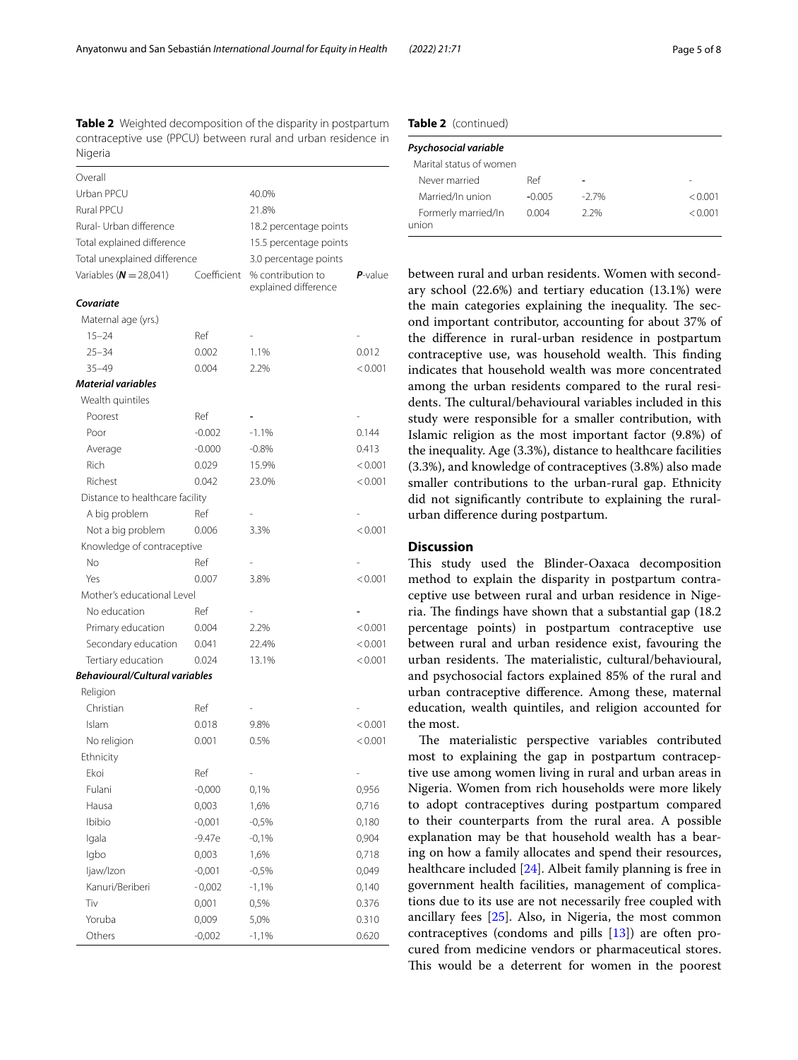<span id="page-4-0"></span>**Table 2** Weighted decomposition of the disparity in postpartum contraceptive use (PPCU) between rural and urban residence in Nigeria

| 40.0%<br>21.8%<br>18.2 percentage points<br>15.5 percentage points<br>3.0 percentage points<br>Coefficient<br>% contribution to<br>$P$ -value<br>explained difference<br>Covariate<br>Maternal age (yrs.)<br>$15 - 24$<br>Ref<br>$25 - 34$<br>0.012<br>0.002<br>1.1%<br>$35 - 49$<br>2.2%<br>< 0.001<br>0.004<br>Wealth quintiles<br>Ref<br>Poorest<br>$-1.1%$<br>0.144<br>Poor<br>$-0.002$<br>$-0.000$<br>Average<br>$-0.8%$<br>0.413<br><b>Rich</b><br>< 0.001<br>0.029<br>15.9%<br>Richest<br>0.042<br>< 0.001<br>23.0%<br>Distance to healthcare facility<br>A big problem<br>Ref<br>Not a big problem<br>0.006<br>3.3%<br>< 0.001<br>Knowledge of contraceptive<br>No<br>Ref<br>Yes<br>3.8%<br>0.007<br>< 0.001<br>Mother's educational Level<br>No education<br>Ref<br>Primary education<br>0.004<br>2.2%<br>< 0.001<br>Secondary education<br>22.4%<br>< 0.001<br>0.041<br>Tertiary education<br>< 0.001<br>0.024<br>13.1%<br><b>Behavioural/Cultural variables</b><br>Religion<br>Christian<br>Ref<br>Islam<br>9.8%<br>0.018<br>< 0.001<br>No religion<br>0.5%<br>< 0.001<br>0.001<br>Ethnicity<br>Ref<br>Ekoi<br>Fulani<br>0,1%<br>0,956<br>$-0,000$<br>1,6%<br>Hausa<br>0,003<br>0,716<br>Ibibio<br>$-0,001$<br>$-0,5%$<br>0,180<br>0,904<br>Igala<br>$-9.47e$<br>$-0,1%$<br>Igbo<br>1,6%<br>0,718<br>0,003<br>ljaw/lzon<br>$-0,001$<br>$-0,5%$<br>0,049<br>Kanuri/Beriberi<br>$-0,002$<br>$-1,1%$<br>0,140<br>Tiv<br>0,001<br>0,5%<br>0.376<br>Yoruba<br>0,009<br>5,0%<br>0.310<br>Others<br>$-0,002$<br>$-1,1%$<br>0.620 | iviyuia                      |  |  |  |
|--------------------------------------------------------------------------------------------------------------------------------------------------------------------------------------------------------------------------------------------------------------------------------------------------------------------------------------------------------------------------------------------------------------------------------------------------------------------------------------------------------------------------------------------------------------------------------------------------------------------------------------------------------------------------------------------------------------------------------------------------------------------------------------------------------------------------------------------------------------------------------------------------------------------------------------------------------------------------------------------------------------------------------------------------------------------------------------------------------------------------------------------------------------------------------------------------------------------------------------------------------------------------------------------------------------------------------------------------------------------------------------------------------------------------------------------------------------------------------------------------------------------------------------|------------------------------|--|--|--|
|                                                                                                                                                                                                                                                                                                                                                                                                                                                                                                                                                                                                                                                                                                                                                                                                                                                                                                                                                                                                                                                                                                                                                                                                                                                                                                                                                                                                                                                                                                                                      | Overall                      |  |  |  |
|                                                                                                                                                                                                                                                                                                                                                                                                                                                                                                                                                                                                                                                                                                                                                                                                                                                                                                                                                                                                                                                                                                                                                                                                                                                                                                                                                                                                                                                                                                                                      | Urban PPCU                   |  |  |  |
|                                                                                                                                                                                                                                                                                                                                                                                                                                                                                                                                                                                                                                                                                                                                                                                                                                                                                                                                                                                                                                                                                                                                                                                                                                                                                                                                                                                                                                                                                                                                      | <b>Rural PPCU</b>            |  |  |  |
|                                                                                                                                                                                                                                                                                                                                                                                                                                                                                                                                                                                                                                                                                                                                                                                                                                                                                                                                                                                                                                                                                                                                                                                                                                                                                                                                                                                                                                                                                                                                      | Rural- Urban difference      |  |  |  |
|                                                                                                                                                                                                                                                                                                                                                                                                                                                                                                                                                                                                                                                                                                                                                                                                                                                                                                                                                                                                                                                                                                                                                                                                                                                                                                                                                                                                                                                                                                                                      | Total explained difference   |  |  |  |
|                                                                                                                                                                                                                                                                                                                                                                                                                                                                                                                                                                                                                                                                                                                                                                                                                                                                                                                                                                                                                                                                                                                                                                                                                                                                                                                                                                                                                                                                                                                                      | Total unexplained difference |  |  |  |
|                                                                                                                                                                                                                                                                                                                                                                                                                                                                                                                                                                                                                                                                                                                                                                                                                                                                                                                                                                                                                                                                                                                                                                                                                                                                                                                                                                                                                                                                                                                                      | Variables ( $N = 28,041$ )   |  |  |  |
|                                                                                                                                                                                                                                                                                                                                                                                                                                                                                                                                                                                                                                                                                                                                                                                                                                                                                                                                                                                                                                                                                                                                                                                                                                                                                                                                                                                                                                                                                                                                      |                              |  |  |  |
|                                                                                                                                                                                                                                                                                                                                                                                                                                                                                                                                                                                                                                                                                                                                                                                                                                                                                                                                                                                                                                                                                                                                                                                                                                                                                                                                                                                                                                                                                                                                      |                              |  |  |  |
|                                                                                                                                                                                                                                                                                                                                                                                                                                                                                                                                                                                                                                                                                                                                                                                                                                                                                                                                                                                                                                                                                                                                                                                                                                                                                                                                                                                                                                                                                                                                      |                              |  |  |  |
|                                                                                                                                                                                                                                                                                                                                                                                                                                                                                                                                                                                                                                                                                                                                                                                                                                                                                                                                                                                                                                                                                                                                                                                                                                                                                                                                                                                                                                                                                                                                      |                              |  |  |  |
|                                                                                                                                                                                                                                                                                                                                                                                                                                                                                                                                                                                                                                                                                                                                                                                                                                                                                                                                                                                                                                                                                                                                                                                                                                                                                                                                                                                                                                                                                                                                      |                              |  |  |  |
|                                                                                                                                                                                                                                                                                                                                                                                                                                                                                                                                                                                                                                                                                                                                                                                                                                                                                                                                                                                                                                                                                                                                                                                                                                                                                                                                                                                                                                                                                                                                      | <b>Material variables</b>    |  |  |  |
|                                                                                                                                                                                                                                                                                                                                                                                                                                                                                                                                                                                                                                                                                                                                                                                                                                                                                                                                                                                                                                                                                                                                                                                                                                                                                                                                                                                                                                                                                                                                      |                              |  |  |  |
|                                                                                                                                                                                                                                                                                                                                                                                                                                                                                                                                                                                                                                                                                                                                                                                                                                                                                                                                                                                                                                                                                                                                                                                                                                                                                                                                                                                                                                                                                                                                      |                              |  |  |  |
|                                                                                                                                                                                                                                                                                                                                                                                                                                                                                                                                                                                                                                                                                                                                                                                                                                                                                                                                                                                                                                                                                                                                                                                                                                                                                                                                                                                                                                                                                                                                      |                              |  |  |  |
|                                                                                                                                                                                                                                                                                                                                                                                                                                                                                                                                                                                                                                                                                                                                                                                                                                                                                                                                                                                                                                                                                                                                                                                                                                                                                                                                                                                                                                                                                                                                      |                              |  |  |  |
|                                                                                                                                                                                                                                                                                                                                                                                                                                                                                                                                                                                                                                                                                                                                                                                                                                                                                                                                                                                                                                                                                                                                                                                                                                                                                                                                                                                                                                                                                                                                      |                              |  |  |  |
|                                                                                                                                                                                                                                                                                                                                                                                                                                                                                                                                                                                                                                                                                                                                                                                                                                                                                                                                                                                                                                                                                                                                                                                                                                                                                                                                                                                                                                                                                                                                      |                              |  |  |  |
|                                                                                                                                                                                                                                                                                                                                                                                                                                                                                                                                                                                                                                                                                                                                                                                                                                                                                                                                                                                                                                                                                                                                                                                                                                                                                                                                                                                                                                                                                                                                      |                              |  |  |  |
|                                                                                                                                                                                                                                                                                                                                                                                                                                                                                                                                                                                                                                                                                                                                                                                                                                                                                                                                                                                                                                                                                                                                                                                                                                                                                                                                                                                                                                                                                                                                      |                              |  |  |  |
|                                                                                                                                                                                                                                                                                                                                                                                                                                                                                                                                                                                                                                                                                                                                                                                                                                                                                                                                                                                                                                                                                                                                                                                                                                                                                                                                                                                                                                                                                                                                      |                              |  |  |  |
|                                                                                                                                                                                                                                                                                                                                                                                                                                                                                                                                                                                                                                                                                                                                                                                                                                                                                                                                                                                                                                                                                                                                                                                                                                                                                                                                                                                                                                                                                                                                      |                              |  |  |  |
|                                                                                                                                                                                                                                                                                                                                                                                                                                                                                                                                                                                                                                                                                                                                                                                                                                                                                                                                                                                                                                                                                                                                                                                                                                                                                                                                                                                                                                                                                                                                      |                              |  |  |  |
|                                                                                                                                                                                                                                                                                                                                                                                                                                                                                                                                                                                                                                                                                                                                                                                                                                                                                                                                                                                                                                                                                                                                                                                                                                                                                                                                                                                                                                                                                                                                      |                              |  |  |  |
|                                                                                                                                                                                                                                                                                                                                                                                                                                                                                                                                                                                                                                                                                                                                                                                                                                                                                                                                                                                                                                                                                                                                                                                                                                                                                                                                                                                                                                                                                                                                      |                              |  |  |  |
|                                                                                                                                                                                                                                                                                                                                                                                                                                                                                                                                                                                                                                                                                                                                                                                                                                                                                                                                                                                                                                                                                                                                                                                                                                                                                                                                                                                                                                                                                                                                      |                              |  |  |  |
|                                                                                                                                                                                                                                                                                                                                                                                                                                                                                                                                                                                                                                                                                                                                                                                                                                                                                                                                                                                                                                                                                                                                                                                                                                                                                                                                                                                                                                                                                                                                      |                              |  |  |  |
|                                                                                                                                                                                                                                                                                                                                                                                                                                                                                                                                                                                                                                                                                                                                                                                                                                                                                                                                                                                                                                                                                                                                                                                                                                                                                                                                                                                                                                                                                                                                      |                              |  |  |  |
|                                                                                                                                                                                                                                                                                                                                                                                                                                                                                                                                                                                                                                                                                                                                                                                                                                                                                                                                                                                                                                                                                                                                                                                                                                                                                                                                                                                                                                                                                                                                      |                              |  |  |  |
|                                                                                                                                                                                                                                                                                                                                                                                                                                                                                                                                                                                                                                                                                                                                                                                                                                                                                                                                                                                                                                                                                                                                                                                                                                                                                                                                                                                                                                                                                                                                      |                              |  |  |  |
|                                                                                                                                                                                                                                                                                                                                                                                                                                                                                                                                                                                                                                                                                                                                                                                                                                                                                                                                                                                                                                                                                                                                                                                                                                                                                                                                                                                                                                                                                                                                      |                              |  |  |  |
|                                                                                                                                                                                                                                                                                                                                                                                                                                                                                                                                                                                                                                                                                                                                                                                                                                                                                                                                                                                                                                                                                                                                                                                                                                                                                                                                                                                                                                                                                                                                      |                              |  |  |  |
|                                                                                                                                                                                                                                                                                                                                                                                                                                                                                                                                                                                                                                                                                                                                                                                                                                                                                                                                                                                                                                                                                                                                                                                                                                                                                                                                                                                                                                                                                                                                      |                              |  |  |  |
|                                                                                                                                                                                                                                                                                                                                                                                                                                                                                                                                                                                                                                                                                                                                                                                                                                                                                                                                                                                                                                                                                                                                                                                                                                                                                                                                                                                                                                                                                                                                      |                              |  |  |  |
|                                                                                                                                                                                                                                                                                                                                                                                                                                                                                                                                                                                                                                                                                                                                                                                                                                                                                                                                                                                                                                                                                                                                                                                                                                                                                                                                                                                                                                                                                                                                      |                              |  |  |  |
|                                                                                                                                                                                                                                                                                                                                                                                                                                                                                                                                                                                                                                                                                                                                                                                                                                                                                                                                                                                                                                                                                                                                                                                                                                                                                                                                                                                                                                                                                                                                      |                              |  |  |  |
|                                                                                                                                                                                                                                                                                                                                                                                                                                                                                                                                                                                                                                                                                                                                                                                                                                                                                                                                                                                                                                                                                                                                                                                                                                                                                                                                                                                                                                                                                                                                      |                              |  |  |  |
|                                                                                                                                                                                                                                                                                                                                                                                                                                                                                                                                                                                                                                                                                                                                                                                                                                                                                                                                                                                                                                                                                                                                                                                                                                                                                                                                                                                                                                                                                                                                      |                              |  |  |  |
|                                                                                                                                                                                                                                                                                                                                                                                                                                                                                                                                                                                                                                                                                                                                                                                                                                                                                                                                                                                                                                                                                                                                                                                                                                                                                                                                                                                                                                                                                                                                      |                              |  |  |  |
|                                                                                                                                                                                                                                                                                                                                                                                                                                                                                                                                                                                                                                                                                                                                                                                                                                                                                                                                                                                                                                                                                                                                                                                                                                                                                                                                                                                                                                                                                                                                      |                              |  |  |  |
|                                                                                                                                                                                                                                                                                                                                                                                                                                                                                                                                                                                                                                                                                                                                                                                                                                                                                                                                                                                                                                                                                                                                                                                                                                                                                                                                                                                                                                                                                                                                      |                              |  |  |  |
|                                                                                                                                                                                                                                                                                                                                                                                                                                                                                                                                                                                                                                                                                                                                                                                                                                                                                                                                                                                                                                                                                                                                                                                                                                                                                                                                                                                                                                                                                                                                      |                              |  |  |  |
|                                                                                                                                                                                                                                                                                                                                                                                                                                                                                                                                                                                                                                                                                                                                                                                                                                                                                                                                                                                                                                                                                                                                                                                                                                                                                                                                                                                                                                                                                                                                      |                              |  |  |  |
|                                                                                                                                                                                                                                                                                                                                                                                                                                                                                                                                                                                                                                                                                                                                                                                                                                                                                                                                                                                                                                                                                                                                                                                                                                                                                                                                                                                                                                                                                                                                      |                              |  |  |  |
|                                                                                                                                                                                                                                                                                                                                                                                                                                                                                                                                                                                                                                                                                                                                                                                                                                                                                                                                                                                                                                                                                                                                                                                                                                                                                                                                                                                                                                                                                                                                      |                              |  |  |  |
|                                                                                                                                                                                                                                                                                                                                                                                                                                                                                                                                                                                                                                                                                                                                                                                                                                                                                                                                                                                                                                                                                                                                                                                                                                                                                                                                                                                                                                                                                                                                      |                              |  |  |  |

## **Table 2** (continued)

| Psychosocial variable        |          |        |         |
|------------------------------|----------|--------|---------|
| Marital status of women      |          |        |         |
| Never married                | Ref      |        |         |
| Married/In union             | $-0.005$ | $-27%$ | < 0.001 |
| Formerly married/In<br>union | 0.004    | 22%    | < 0.001 |

between rural and urban residents. Women with secondary school (22.6%) and tertiary education (13.1%) were the main categories explaining the inequality. The second important contributor, accounting for about 37% of the diference in rural-urban residence in postpartum contraceptive use, was household wealth. This finding indicates that household wealth was more concentrated among the urban residents compared to the rural residents. The cultural/behavioural variables included in this study were responsible for a smaller contribution, with Islamic religion as the most important factor (9.8%) of the inequality. Age (3.3%), distance to healthcare facilities (3.3%), and knowledge of contraceptives (3.8%) also made smaller contributions to the urban-rural gap. Ethnicity did not signifcantly contribute to explaining the ruralurban diference during postpartum.

#### **Discussion**

This study used the Blinder-Oaxaca decomposition method to explain the disparity in postpartum contraceptive use between rural and urban residence in Nigeria. The findings have shown that a substantial gap (18.2) percentage points) in postpartum contraceptive use between rural and urban residence exist, favouring the urban residents. The materialistic, cultural/behavioural, and psychosocial factors explained 85% of the rural and urban contraceptive diference. Among these, maternal education, wealth quintiles, and religion accounted for the most.

The materialistic perspective variables contributed most to explaining the gap in postpartum contraceptive use among women living in rural and urban areas in Nigeria. Women from rich households were more likely to adopt contraceptives during postpartum compared to their counterparts from the rural area. A possible explanation may be that household wealth has a bearing on how a family allocates and spend their resources, healthcare included [\[24](#page-7-16)]. Albeit family planning is free in government health facilities, management of complications due to its use are not necessarily free coupled with ancillary fees [\[25\]](#page-7-17). Also, in Nigeria, the most common contraceptives (condoms and pills [\[13](#page-7-5)]) are often procured from medicine vendors or pharmaceutical stores. This would be a deterrent for women in the poorest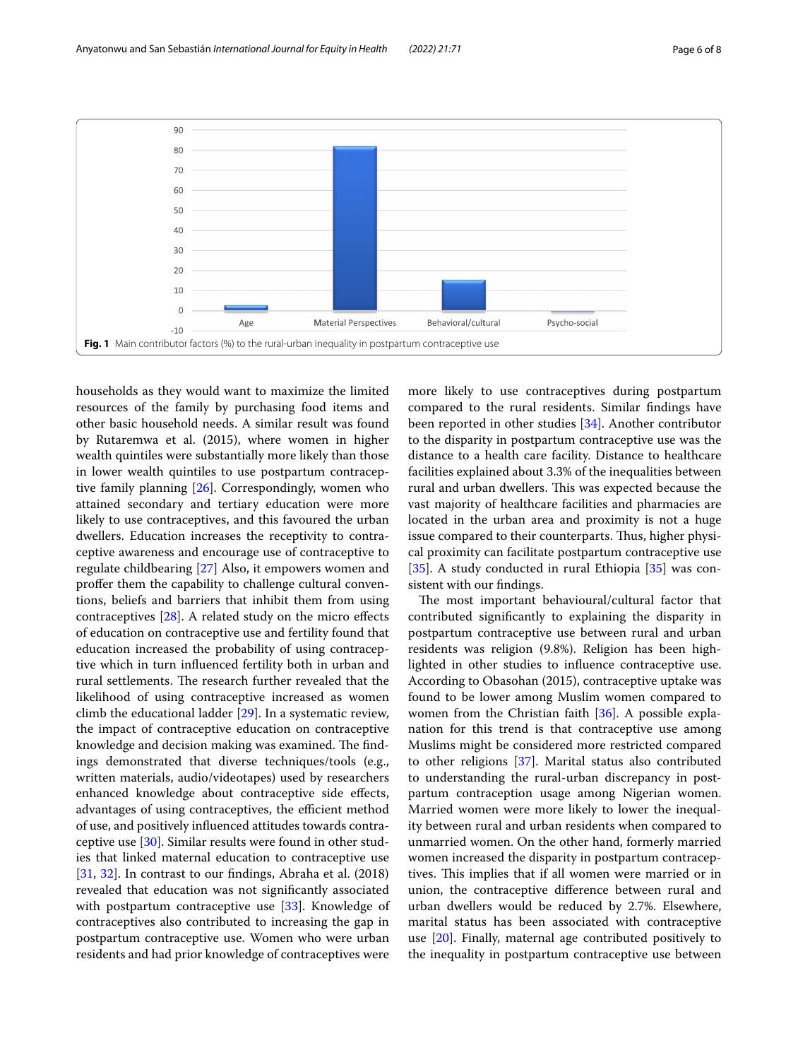

<span id="page-5-0"></span>households as they would want to maximize the limited resources of the family by purchasing food items and other basic household needs. A similar result was found by Rutaremwa et al. (2015), where women in higher wealth quintiles were substantially more likely than those in lower wealth quintiles to use postpartum contraceptive family planning [[26](#page-7-18)]. Correspondingly, women who attained secondary and tertiary education were more likely to use contraceptives, and this favoured the urban dwellers. Education increases the receptivity to contraceptive awareness and encourage use of contraceptive to regulate childbearing [[27](#page-7-19)] Also, it empowers women and proffer them the capability to challenge cultural conventions, beliefs and barriers that inhibit them from using contraceptives  $[28]$  $[28]$ . A related study on the micro effects of education on contraceptive use and fertility found that education increased the probability of using contraceptive which in turn infuenced fertility both in urban and rural settlements. The research further revealed that the likelihood of using contraceptive increased as women climb the educational ladder [[29\]](#page-7-21). In a systematic review, the impact of contraceptive education on contraceptive knowledge and decision making was examined. The findings demonstrated that diverse techniques/tools (e.g., written materials, audio/videotapes) used by researchers enhanced knowledge about contraceptive side efects, advantages of using contraceptives, the efficient method of use, and positively infuenced attitudes towards contraceptive use [\[30](#page-7-22)]. Similar results were found in other studies that linked maternal education to contraceptive use [[31,](#page-7-23) [32\]](#page-7-24). In contrast to our fndings, Abraha et al. (2018) revealed that education was not signifcantly associated with postpartum contraceptive use [[33\]](#page-7-25). Knowledge of contraceptives also contributed to increasing the gap in postpartum contraceptive use. Women who were urban residents and had prior knowledge of contraceptives were more likely to use contraceptives during postpartum compared to the rural residents. Similar fndings have been reported in other studies [\[34\]](#page-7-26). Another contributor to the disparity in postpartum contraceptive use was the distance to a health care facility. Distance to healthcare facilities explained about 3.3% of the inequalities between rural and urban dwellers. This was expected because the vast majority of healthcare facilities and pharmacies are located in the urban area and proximity is not a huge issue compared to their counterparts. Thus, higher physical proximity can facilitate postpartum contraceptive use [[35\]](#page-7-27). A study conducted in rural Ethiopia [35] was consistent with our fndings.

The most important behavioural/cultural factor that contributed signifcantly to explaining the disparity in postpartum contraceptive use between rural and urban residents was religion (9.8%). Religion has been highlighted in other studies to infuence contraceptive use. According to Obasohan (2015), contraceptive uptake was found to be lower among Muslim women compared to women from the Christian faith [\[36\]](#page-7-28). A possible explanation for this trend is that contraceptive use among Muslims might be considered more restricted compared to other religions [[37\]](#page-7-29). Marital status also contributed to understanding the rural-urban discrepancy in postpartum contraception usage among Nigerian women. Married women were more likely to lower the inequality between rural and urban residents when compared to unmarried women. On the other hand, formerly married women increased the disparity in postpartum contraceptives. This implies that if all women were married or in union, the contraceptive diference between rural and urban dwellers would be reduced by 2.7%. Elsewhere, marital status has been associated with contraceptive use [[20](#page-7-12)]. Finally, maternal age contributed positively to the inequality in postpartum contraceptive use between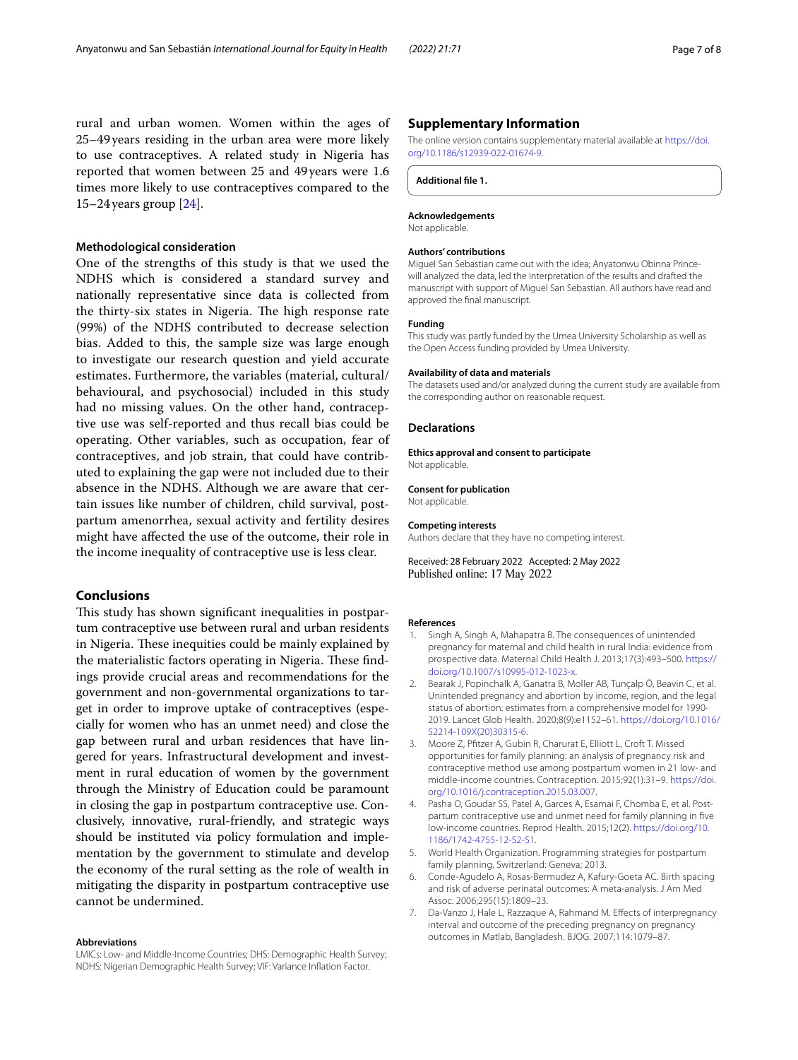rural and urban women. Women within the ages of 25–49years residing in the urban area were more likely to use contraceptives. A related study in Nigeria has reported that women between 25 and 49years were 1.6 times more likely to use contraceptives compared to the 15–24years group [[24](#page-7-16)].

### **Methodological consideration**

One of the strengths of this study is that we used the NDHS which is considered a standard survey and nationally representative since data is collected from the thirty-six states in Nigeria. The high response rate (99%) of the NDHS contributed to decrease selection bias. Added to this, the sample size was large enough to investigate our research question and yield accurate estimates. Furthermore, the variables (material, cultural/ behavioural, and psychosocial) included in this study had no missing values. On the other hand, contraceptive use was self-reported and thus recall bias could be operating. Other variables, such as occupation, fear of contraceptives, and job strain, that could have contributed to explaining the gap were not included due to their absence in the NDHS. Although we are aware that certain issues like number of children, child survival, postpartum amenorrhea, sexual activity and fertility desires might have afected the use of the outcome, their role in the income inequality of contraceptive use is less clear.

## **Conclusions**

This study has shown significant inequalities in postpartum contraceptive use between rural and urban residents in Nigeria. These inequities could be mainly explained by the materialistic factors operating in Nigeria. These findings provide crucial areas and recommendations for the government and non-governmental organizations to target in order to improve uptake of contraceptives (especially for women who has an unmet need) and close the gap between rural and urban residences that have lingered for years. Infrastructural development and investment in rural education of women by the government through the Ministry of Education could be paramount in closing the gap in postpartum contraceptive use. Conclusively, innovative, rural-friendly, and strategic ways should be instituted via policy formulation and implementation by the government to stimulate and develop the economy of the rural setting as the role of wealth in mitigating the disparity in postpartum contraceptive use cannot be undermined.

#### **Abbreviations**

LMICs: Low- and Middle-Income Countries; DHS: Demographic Health Survey; NDHS: Nigerian Demographic Health Survey; VIF: Variance Infation Factor.

#### **Supplementary Information**

The online version contains supplementary material available at [https://doi.](https://doi.org/10.1186/s12939-022-01674-9) [org/10.1186/s12939-022-01674-9](https://doi.org/10.1186/s12939-022-01674-9).

<span id="page-6-7"></span>**Additional fle 1.**

#### **Acknowledgements**

Not applicable.

#### **Authors' contributions**

Miguel San Sebastian came out with the idea; Anyatonwu Obinna Princewill analyzed the data, led the interpretation of the results and drafted the manuscript with support of Miguel San Sebastian. All authors have read and approved the fnal manuscript.

#### **Funding**

This study was partly funded by the Umea University Scholarship as well as the Open Access funding provided by Umea University.

#### **Availability of data and materials**

The datasets used and/or analyzed during the current study are available from the corresponding author on reasonable request.

#### **Declarations**

**Ethics approval and consent to participate** Not applicable.

**Consent for publication** Not applicable.

## **Competing interests**

Authors declare that they have no competing interest.

Received: 28 February 2022 Accepted: 2 May 2022 Published online: 17 May 2022

#### **References**

- <span id="page-6-0"></span>1. Singh A, Singh A, Mahapatra B. The consequences of unintended pregnancy for maternal and child health in rural India: evidence from prospective data. Maternal Child Health J. 2013;17(3):493–500. [https://](https://doi.org/10.1007/s10995-012-1023-x) [doi.org/10.1007/s10995-012-1023-x.](https://doi.org/10.1007/s10995-012-1023-x)
- <span id="page-6-1"></span>2. Bearak J, Popinchalk A, Ganatra B, Moller AB, Tunçalp Ö, Beavin C, et al. Unintended pregnancy and abortion by income, region, and the legal status of abortion: estimates from a comprehensive model for 1990- 2019. Lancet Glob Health. 2020;8(9):e1152–61. [https://doi.org/10.1016/](https://doi.org/10.1016/S2214-109X(20)30315-6) [S2214-109X\(20\)30315-6.](https://doi.org/10.1016/S2214-109X(20)30315-6)
- <span id="page-6-2"></span>3. Moore Z, Pftzer A, Gubin R, Charurat E, Elliott L, Croft T. Missed opportunities for family planning: an analysis of pregnancy risk and contraceptive method use among postpartum women in 21 low- and middle-income countries. Contraception. 2015;92(1):31–9. [https://doi.](https://doi.org/10.1016/j.contraception.2015.03.007) [org/10.1016/j.contraception.2015.03.007.](https://doi.org/10.1016/j.contraception.2015.03.007)
- <span id="page-6-3"></span>4. Pasha O, Goudar SS, Patel A, Garces A, Esamai F, Chomba E, et al. Postpartum contraceptive use and unmet need for family planning in fve low-income countries. Reprod Health. 2015;12(2). [https://doi.org/10.](https://doi.org/10.1186/1742-4755-12-S2-S1) [1186/1742-4755-12-S2-S1](https://doi.org/10.1186/1742-4755-12-S2-S1).
- <span id="page-6-4"></span>5. World Health Organization. Programming strategies for postpartum family planning. Switzerland: Geneva; 2013.
- <span id="page-6-5"></span>6. Conde-Agudelo A, Rosas-Bermudez A, Kafury-Goeta AC. Birth spacing and risk of adverse perinatal outcomes: A meta-analysis. J Am Med Assoc. 2006;295(15):1809–23.
- <span id="page-6-6"></span>7. Da-Vanzo J, Hale L, Razzaque A, Rahmand M. Efects of interpregnancy interval and outcome of the preceding pregnancy on pregnancy outcomes in Matlab, Bangladesh. BJOG. 2007;114:1079–87.